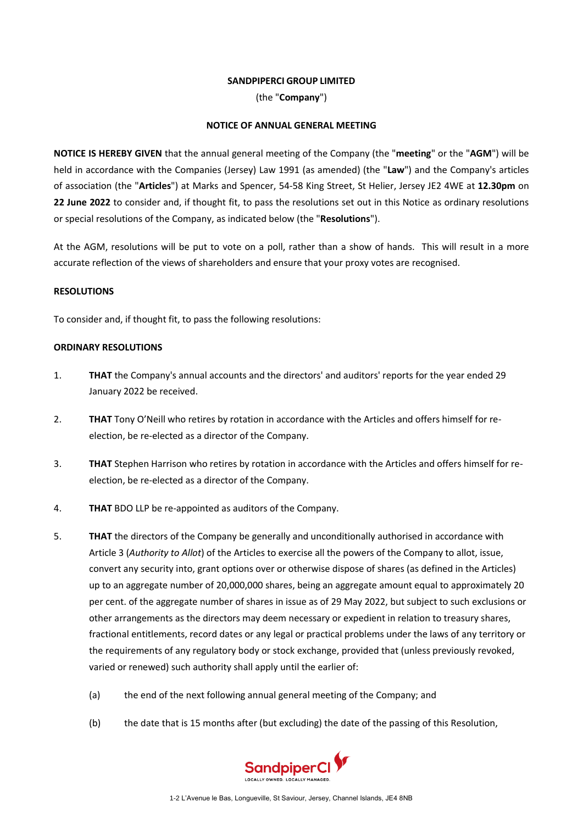## **SANDPIPERCI GROUP LIMITED**

(the "**Company**")

## **NOTICE OF ANNUAL GENERAL MEETING**

**NOTICE IS HEREBY GIVEN** that the annual general meeting of the Company (the "**meeting**" or the "**AGM**") will be held in accordance with the Companies (Jersey) Law 1991 (as amended) (the "**Law**") and the Company's articles of association (the "**Articles**") at Marks and Spencer, 54-58 King Street, St Helier, Jersey JE2 4WE at **12.30pm** on **22 June 2022** to consider and, if thought fit, to pass the resolutions set out in this Notice as ordinary resolutions or special resolutions of the Company, as indicated below (the "**Resolutions**").

At the AGM, resolutions will be put to vote on a poll, rather than a show of hands. This will result in a more accurate reflection of the views of shareholders and ensure that your proxy votes are recognised.

## **RESOLUTIONS**

To consider and, if thought fit, to pass the following resolutions:

## **ORDINARY RESOLUTIONS**

- 1. **THAT** the Company's annual accounts and the directors' and auditors' reports for the year ended 29 January 2022 be received.
- 2. **THAT** Tony O'Neill who retires by rotation in accordance with the Articles and offers himself for reelection, be re-elected as a director of the Company.
- 3. **THAT** Stephen Harrison who retires by rotation in accordance with the Articles and offers himself for reelection, be re-elected as a director of the Company.
- 4. **THAT** BDO LLP be re-appointed as auditors of the Company.
- <span id="page-0-0"></span>5. **THAT** the directors of the Company be generally and unconditionally authorised in accordance with Article 3 (*Authority to Allot*) of the Articles to exercise all the powers of the Company to allot, issue, convert any security into, grant options over or otherwise dispose of shares (as defined in the Articles) up to an aggregate number of 20,000,000 shares, being an aggregate amount equal to approximately 20 per cent. of the aggregate number of shares in issue as of 29 May 2022, but subject to such exclusions or other arrangements as the directors may deem necessary or expedient in relation to treasury shares, fractional entitlements, record dates or any legal or practical problems under the laws of any territory or the requirements of any regulatory body or stock exchange, provided that (unless previously revoked, varied or renewed) such authority shall apply until the earlier of:
	- (a) the end of the next following annual general meeting of the Company; and
	- (b) the date that is 15 months after (but excluding) the date of the passing of this Resolution,

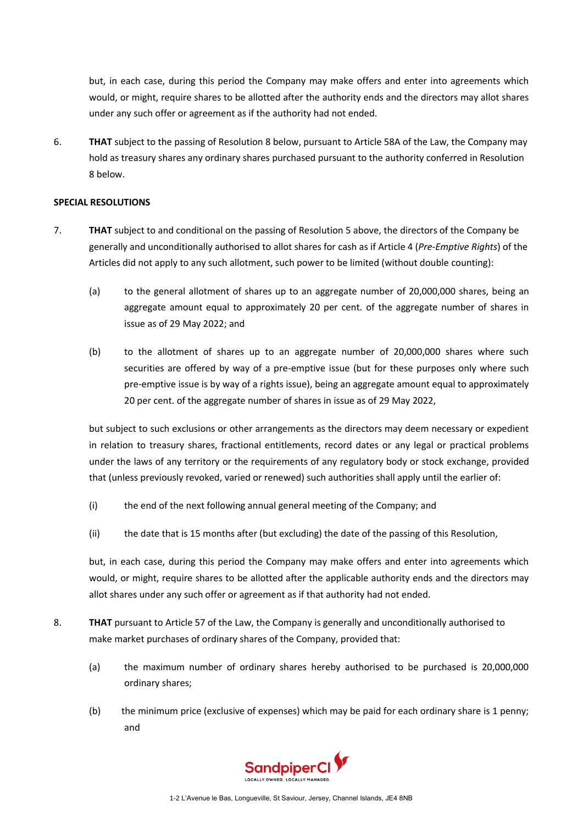but, in each case, during this period the Company may make offers and enter into agreements which would, or might, require shares to be allotted after the authority ends and the directors may allot shares under any such offer or agreement as if the authority had not ended.

6. **THAT** subject to the passing of Resolution [8 below,](#page-1-0) pursuant to Article 58A of the Law, the Company may hold as treasury shares any ordinary shares purchased pursuant to the authority conferred in Resolution [8 below.](#page-1-0)

## **SPECIAL RESOLUTIONS**

- 7. **THAT** subject to and conditional on the passing of Resolution [5 above,](#page-0-0) the directors of the Company be generally and unconditionally authorised to allot shares for cash as if Article 4 (*Pre-Emptive Rights*) of the Articles did not apply to any such allotment, such power to be limited (without double counting):
	- (a) to the general allotment of shares up to an aggregate number of 20,000,000 shares, being an aggregate amount equal to approximately 20 per cent. of the aggregate number of shares in issue as of 29 May 2022; and
	- (b) to the allotment of shares up to an aggregate number of 20,000,000 shares where such securities are offered by way of a pre-emptive issue (but for these purposes only where such pre-emptive issue is by way of a rights issue), being an aggregate amount equal to approximately 20 per cent. of the aggregate number of shares in issue as of 29 May 2022,

but subject to such exclusions or other arrangements as the directors may deem necessary or expedient in relation to treasury shares, fractional entitlements, record dates or any legal or practical problems under the laws of any territory or the requirements of any regulatory body or stock exchange, provided that (unless previously revoked, varied or renewed) such authorities shall apply until the earlier of:

- (i) the end of the next following annual general meeting of the Company; and
- (ii) the date that is 15 months after (but excluding) the date of the passing of this Resolution,

but, in each case, during this period the Company may make offers and enter into agreements which would, or might, require shares to be allotted after the applicable authority ends and the directors may allot shares under any such offer or agreement as if that authority had not ended.

- <span id="page-1-0"></span>8. **THAT** pursuant to Article 57 of the Law, the Company is generally and unconditionally authorised to make market purchases of ordinary shares of the Company, provided that:
	- (a) the maximum number of ordinary shares hereby authorised to be purchased is 20,000,000 ordinary shares;
	- (b) the minimum price (exclusive of expenses) which may be paid for each ordinary share is 1 penny; and

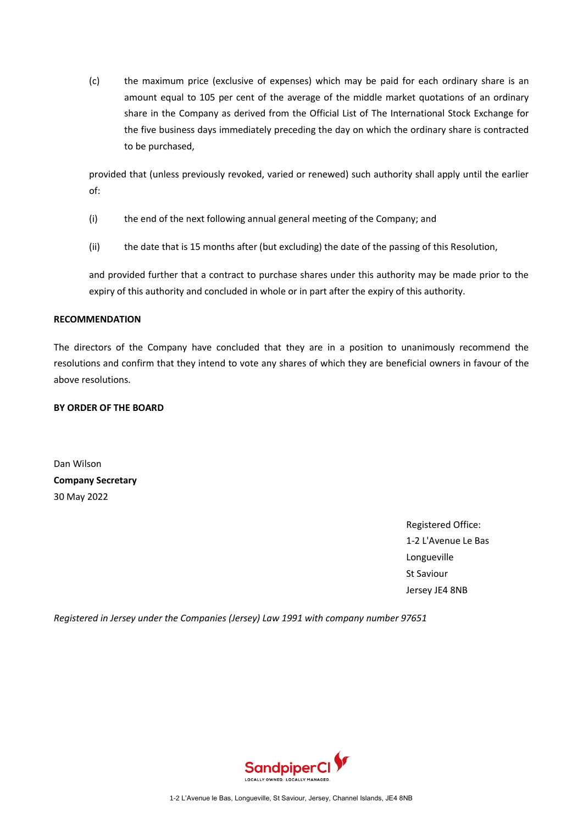(c) the maximum price (exclusive of expenses) which may be paid for each ordinary share is an amount equal to 105 per cent of the average of the middle market quotations of an ordinary share in the Company as derived from the Official List of The International Stock Exchange for the five business days immediately preceding the day on which the ordinary share is contracted to be purchased,

provided that (unless previously revoked, varied or renewed) such authority shall apply until the earlier of:

- (i) the end of the next following annual general meeting of the Company; and
- (ii) the date that is 15 months after (but excluding) the date of the passing of this Resolution,

and provided further that a contract to purchase shares under this authority may be made prior to the expiry of this authority and concluded in whole or in part after the expiry of this authority.

# **RECOMMENDATION**

The directors of the Company have concluded that they are in a position to unanimously recommend the resolutions and confirm that they intend to vote any shares of which they are beneficial owners in favour of the above resolutions.

# **BY ORDER OF THE BOARD**

Dan Wilson **Company Secretary** 30 May 2022

> Registered Office: 1-2 L'Avenue Le Bas Longueville St Saviour Jersey JE4 8NB

*Registered in Jersey under the Companies (Jersey) Law 1991 with company number 97651*

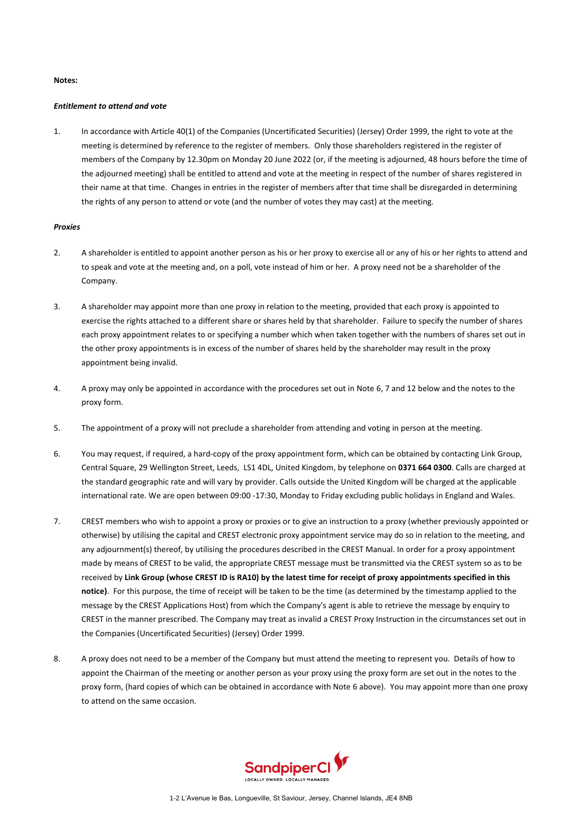#### **Notes:**

#### *Entitlement to attend and vote*

1. In accordance with Article 40(1) of the Companies (Uncertificated Securities) (Jersey) Order 1999, the right to vote at the meeting is determined by reference to the register of members. Only those shareholders registered in the register of members of the Company by 12.30pm on Monday 20 June 2022 (or, if the meeting is adjourned, 48 hours before the time of the adjourned meeting) shall be entitled to attend and vote at the meeting in respect of the number of shares registered in their name at that time. Changes in entries in the register of members after that time shall be disregarded in determining the rights of any person to attend or vote (and the number of votes they may cast) at the meeting.

### *Proxies*

- 2. A shareholder is entitled to appoint another person as his or her proxy to exercise all or any of his or her rights to attend and to speak and vote at the meeting and, on a poll, vote instead of him or her. A proxy need not be a shareholder of the Company.
- 3. A shareholder may appoint more than one proxy in relation to the meeting, provided that each proxy is appointed to exercise the rights attached to a different share or shares held by that shareholder. Failure to specify the number of shares each proxy appointment relates to or specifying a number which when taken together with the numbers of shares set out in the other proxy appointments is in excess of the number of shares held by the shareholder may result in the proxy appointment being invalid.
- 4. A proxy may only be appointed in accordance with the procedures set out in Not[e 6,](#page-3-0) [7](#page-3-1) and [12 below](#page-4-0) and the notes to the proxy form.
- 5. The appointment of a proxy will not preclude a shareholder from attending and voting in person at the meeting.
- <span id="page-3-0"></span>6. You may request, if required, a hard-copy of the proxy appointment form, which can be obtained by contacting Link Group, Central Square, 29 Wellington Street, Leeds, LS1 4DL, United Kingdom, by telephone on **0371 664 0300**. Calls are charged at the standard geographic rate and will vary by provider. Calls outside the United Kingdom will be charged at the applicable international rate. We are open between 09:00 -17:30, Monday to Friday excluding public holidays in England and Wales.
- <span id="page-3-1"></span>7. CREST members who wish to appoint a proxy or proxies or to give an instruction to a proxy (whether previously appointed or otherwise) by utilising the capital and CREST electronic proxy appointment service may do so in relation to the meeting, and any adjournment(s) thereof, by utilising the procedures described in the CREST Manual. In order for a proxy appointment made by means of CREST to be valid, the appropriate CREST message must be transmitted via the CREST system so as to be received by **Link Group (whose CREST ID is RA10) by the latest time for receipt of proxy appointments specified in this notice)**. For this purpose, the time of receipt will be taken to be the time (as determined by the timestamp applied to the message by the CREST Applications Host) from which the Company's agent is able to retrieve the message by enquiry to CREST in the manner prescribed. The Company may treat as invalid a CREST Proxy Instruction in the circumstances set out in the Companies (Uncertificated Securities) (Jersey) Order 1999.
- 8. A proxy does not need to be a member of the Company but must attend the meeting to represent you. Details of how to appoint the Chairman of the meeting or another person as your proxy using the proxy form are set out in the notes to the proxy form, (hard copies of which can be obtained in accordance with Not[e 6 above\)](#page-3-0). You may appoint more than one proxy to attend on the same occasion.

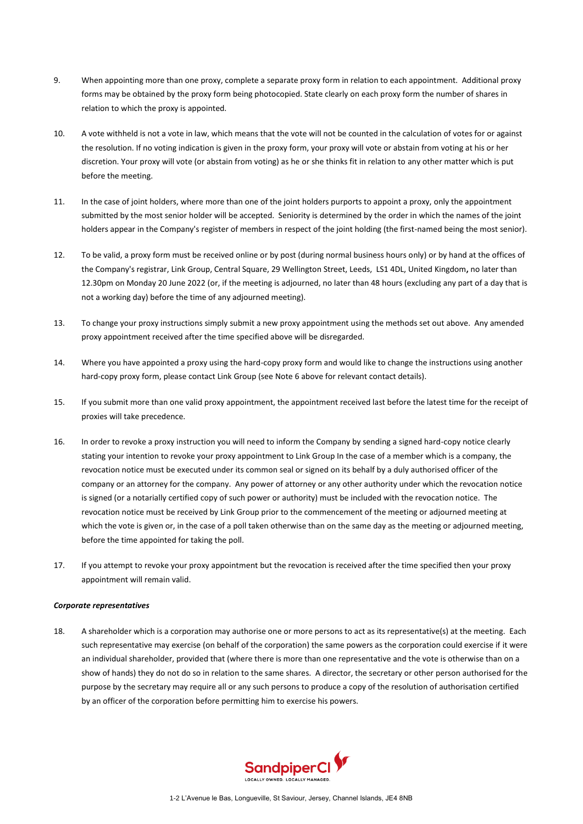- 9. When appointing more than one proxy, complete a separate proxy form in relation to each appointment. Additional proxy forms may be obtained by the proxy form being photocopied. State clearly on each proxy form the number of shares in relation to which the proxy is appointed.
- 10. A vote withheld is not a vote in law, which means that the vote will not be counted in the calculation of votes for or against the resolution. If no voting indication is given in the proxy form, your proxy will vote or abstain from voting at his or her discretion. Your proxy will vote (or abstain from voting) as he or she thinks fit in relation to any other matter which is put before the meeting.
- 11. In the case of joint holders, where more than one of the joint holders purports to appoint a proxy, only the appointment submitted by the most senior holder will be accepted. Seniority is determined by the order in which the names of the joint holders appear in the Company's register of members in respect of the joint holding (the first-named being the most senior).
- <span id="page-4-0"></span>12. To be valid, a proxy form must be received online or by post (during normal business hours only) or by hand at the offices of the Company's registrar, Link Group, Central Square, 29 Wellington Street, Leeds, LS1 4DL, United Kingdom**,** no later than 12.30pm on Monday 20 June 2022 (or, if the meeting is adjourned, no later than 48 hours (excluding any part of a day that is not a working day) before the time of any adjourned meeting).
- 13. To change your proxy instructions simply submit a new proxy appointment using the methods set out above. Any amended proxy appointment received after the time specified above will be disregarded.
- 14. Where you have appointed a proxy using the hard-copy proxy form and would like to change the instructions using another hard-copy proxy form, please contact Link Group (see Not[e 6 above](#page-3-0) for relevant contact details).
- 15. If you submit more than one valid proxy appointment, the appointment received last before the latest time for the receipt of proxies will take precedence.
- 16. In order to revoke a proxy instruction you will need to inform the Company by sending a signed hard-copy notice clearly stating your intention to revoke your proxy appointment to Link Group In the case of a member which is a company, the revocation notice must be executed under its common seal or signed on its behalf by a duly authorised officer of the company or an attorney for the company. Any power of attorney or any other authority under which the revocation notice is signed (or a notarially certified copy of such power or authority) must be included with the revocation notice. The revocation notice must be received by Link Group prior to the commencement of the meeting or adjourned meeting at which the vote is given or, in the case of a poll taken otherwise than on the same day as the meeting or adjourned meeting, before the time appointed for taking the poll.
- 17. If you attempt to revoke your proxy appointment but the revocation is received after the time specified then your proxy appointment will remain valid.

#### *Corporate representatives*

18. A shareholder which is a corporation may authorise one or more persons to act as its representative(s) at the meeting. Each such representative may exercise (on behalf of the corporation) the same powers as the corporation could exercise if it were an individual shareholder, provided that (where there is more than one representative and the vote is otherwise than on a show of hands) they do not do so in relation to the same shares. A director, the secretary or other person authorised for the purpose by the secretary may require all or any such persons to produce a copy of the resolution of authorisation certified by an officer of the corporation before permitting him to exercise his powers.